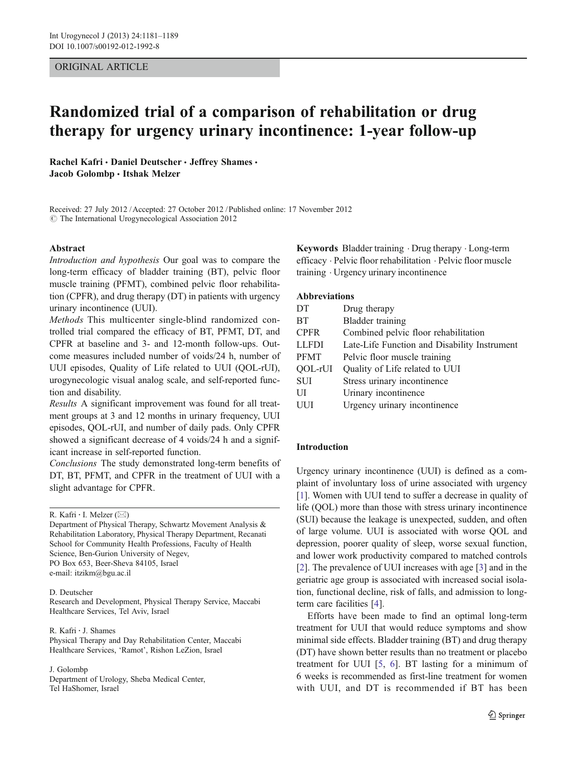# ORIGINAL ARTICLE

# Randomized trial of a comparison of rehabilitation or drug therapy for urgency urinary incontinence: 1-year follow-up

Rachel Kafri · Daniel Deutscher · Jeffrey Shames · Jacob Golombp & Itshak Melzer

Received: 27 July 2012 /Accepted: 27 October 2012 / Published online: 17 November 2012  $\odot$  The International Urogynecological Association 2012

#### Abstract

Introduction and hypothesis Our goal was to compare the long-term efficacy of bladder training (BT), pelvic floor muscle training (PFMT), combined pelvic floor rehabilitation (CPFR), and drug therapy (DT) in patients with urgency urinary incontinence (UUI).

Methods This multicenter single-blind randomized controlled trial compared the efficacy of BT, PFMT, DT, and CPFR at baseline and 3- and 12-month follow-ups. Outcome measures included number of voids/24 h, number of UUI episodes, Quality of Life related to UUI (QOL-rUI), urogynecologic visual analog scale, and self-reported function and disability.

Results A significant improvement was found for all treatment groups at 3 and 12 months in urinary frequency, UUI episodes, QOL-rUI, and number of daily pads. Only CPFR showed a significant decrease of 4 voids/24 h and a significant increase in self-reported function.

Conclusions The study demonstrated long-term benefits of DT, BT, PFMT, and CPFR in the treatment of UUI with a slight advantage for CPFR.

Department of Physical Therapy, Schwartz Movement Analysis & Rehabilitation Laboratory, Physical Therapy Department, Recanati School for Community Health Professions, Faculty of Health Science, Ben-Gurion University of Negev, PO Box 653, Beer-Sheva 84105, Israel e-mail: itzikm@bgu.ac.il

#### D. Deutscher

Research and Development, Physical Therapy Service, Maccabi Healthcare Services, Tel Aviv, Israel

R. Kafri : J. Shames

Physical Therapy and Day Rehabilitation Center, Maccabi Healthcare Services, 'Ramot', Rishon LeZion, Israel

J. Golombp

Department of Urology, Sheba Medical Center, Tel HaShomer, Israel

Keywords Bladder training . Drug therapy . Long-term efficacy . Pelvic floor rehabilitation . Pelvic floor muscle training . Urgency urinary incontinence

# Abbreviations

| DT          | Drug therapy                                 |
|-------------|----------------------------------------------|
| ВT          | <b>Bladder</b> training                      |
| <b>CPFR</b> | Combined pelvic floor rehabilitation         |
| LLFDI       | Late-Life Function and Disability Instrument |
| <b>PFMT</b> | Pelvic floor muscle training                 |
| 00L-rUI     | Quality of Life related to UUI               |
| SUI         | Stress urinary incontinence                  |
| UІ          | Urinary incontinence                         |
| UUI         | Urgency urinary incontinence                 |

# Introduction

Urgency urinary incontinence (UUI) is defined as a complaint of involuntary loss of urine associated with urgency [\[1](#page-7-0)]. Women with UUI tend to suffer a decrease in quality of life (QOL) more than those with stress urinary incontinence (SUI) because the leakage is unexpected, sudden, and often of large volume. UUI is associated with worse QOL and depression, poorer quality of sleep, worse sexual function, and lower work productivity compared to matched controls [\[2](#page-7-0)]. The prevalence of UUI increases with age [\[3](#page-7-0)] and in the geriatric age group is associated with increased social isolation, functional decline, risk of falls, and admission to longterm care facilities [\[4](#page-7-0)].

Efforts have been made to find an optimal long-term treatment for UUI that would reduce symptoms and show minimal side effects. Bladder training (BT) and drug therapy (DT) have shown better results than no treatment or placebo treatment for UUI [[5,](#page-7-0) [6\]](#page-7-0). BT lasting for a minimum of 6 weeks is recommended as first-line treatment for women with UUI, and DT is recommended if BT has been

R. Kafri  $\cdot$  I. Melzer ( $\boxtimes$ )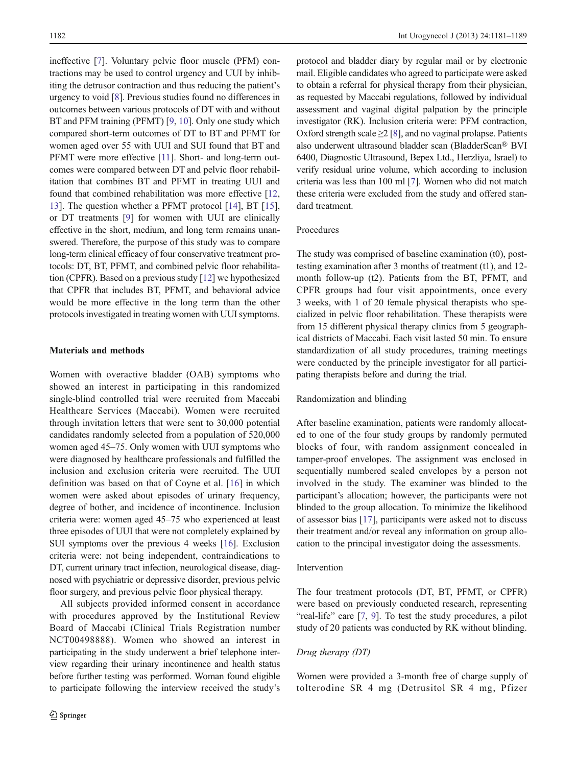ineffective [\[7](#page-7-0)]. Voluntary pelvic floor muscle (PFM) contractions may be used to control urgency and UUI by inhibiting the detrusor contraction and thus reducing the patient's urgency to void [\[8](#page-7-0)]. Previous studies found no differences in outcomes between various protocols of DT with and without BT and PFM training (PFMT) [[9,](#page-7-0) [10](#page-7-0)]. Only one study which compared short-term outcomes of DT to BT and PFMT for women aged over 55 with UUI and SUI found that BT and PFMT were more effective [[11](#page-7-0)]. Short- and long-term outcomes were compared between DT and pelvic floor rehabilitation that combines BT and PFMT in treating UUI and found that combined rehabilitation was more effective [[12,](#page-7-0) [13](#page-7-0)]. The question whether a PFMT protocol [[14\]](#page-7-0), BT [\[15](#page-7-0)], or DT treatments [[9\]](#page-7-0) for women with UUI are clinically effective in the short, medium, and long term remains unanswered. Therefore, the purpose of this study was to compare long-term clinical efficacy of four conservative treatment protocols: DT, BT, PFMT, and combined pelvic floor rehabilitation (CPFR). Based on a previous study [\[12](#page-7-0)] we hypothesized that CPFR that includes BT, PFMT, and behavioral advice would be more effective in the long term than the other protocols investigated in treating women with UUI symptoms.

# Materials and methods

Women with overactive bladder (OAB) symptoms who showed an interest in participating in this randomized single-blind controlled trial were recruited from Maccabi Healthcare Services (Maccabi). Women were recruited through invitation letters that were sent to 30,000 potential candidates randomly selected from a population of 520,000 women aged 45–75. Only women with UUI symptoms who were diagnosed by healthcare professionals and fulfilled the inclusion and exclusion criteria were recruited. The UUI definition was based on that of Coyne et al. [\[16](#page-7-0)] in which women were asked about episodes of urinary frequency, degree of bother, and incidence of incontinence. Inclusion criteria were: women aged 45–75 who experienced at least three episodes of UUI that were not completely explained by SUI symptoms over the previous 4 weeks [[16](#page-7-0)]. Exclusion criteria were: not being independent, contraindications to DT, current urinary tract infection, neurological disease, diagnosed with psychiatric or depressive disorder, previous pelvic floor surgery, and previous pelvic floor physical therapy.

All subjects provided informed consent in accordance with procedures approved by the Institutional Review Board of Maccabi (Clinical Trials Registration number NCT00498888). Women who showed an interest in participating in the study underwent a brief telephone interview regarding their urinary incontinence and health status before further testing was performed. Woman found eligible to participate following the interview received the study's protocol and bladder diary by regular mail or by electronic mail. Eligible candidates who agreed to participate were asked to obtain a referral for physical therapy from their physician, as requested by Maccabi regulations, followed by individual assessment and vaginal digital palpation by the principle investigator (RK). Inclusion criteria were: PFM contraction, Oxford strength scale  $\geq$  2 [[8\]](#page-7-0), and no vaginal prolapse. Patients also underwent ultrasound bladder scan (BladderScan® BVI 6400, Diagnostic Ultrasound, Bepex Ltd., Herzliya, Israel) to verify residual urine volume, which according to inclusion criteria was less than 100 ml [\[7\]](#page-7-0). Women who did not match these criteria were excluded from the study and offered standard treatment.

# Procedures

The study was comprised of baseline examination (t0), posttesting examination after 3 months of treatment (t1), and 12 month follow-up (t2). Patients from the BT, PFMT, and CPFR groups had four visit appointments, once every 3 weeks, with 1 of 20 female physical therapists who specialized in pelvic floor rehabilitation. These therapists were from 15 different physical therapy clinics from 5 geographical districts of Maccabi. Each visit lasted 50 min. To ensure standardization of all study procedures, training meetings were conducted by the principle investigator for all participating therapists before and during the trial.

#### Randomization and blinding

After baseline examination, patients were randomly allocated to one of the four study groups by randomly permuted blocks of four, with random assignment concealed in tamper-proof envelopes. The assignment was enclosed in sequentially numbered sealed envelopes by a person not involved in the study. The examiner was blinded to the participant's allocation; however, the participants were not blinded to the group allocation. To minimize the likelihood of assessor bias [[17](#page-7-0)], participants were asked not to discuss their treatment and/or reveal any information on group allocation to the principal investigator doing the assessments.

# Intervention

The four treatment protocols (DT, BT, PFMT, or CPFR) were based on previously conducted research, representing "real-life" care [\[7](#page-7-0), [9](#page-7-0)]. To test the study procedures, a pilot study of 20 patients was conducted by RK without blinding.

#### Drug therapy (DT)

Women were provided a 3-month free of charge supply of tolterodine SR 4 mg (Detrusitol SR 4 mg, Pfizer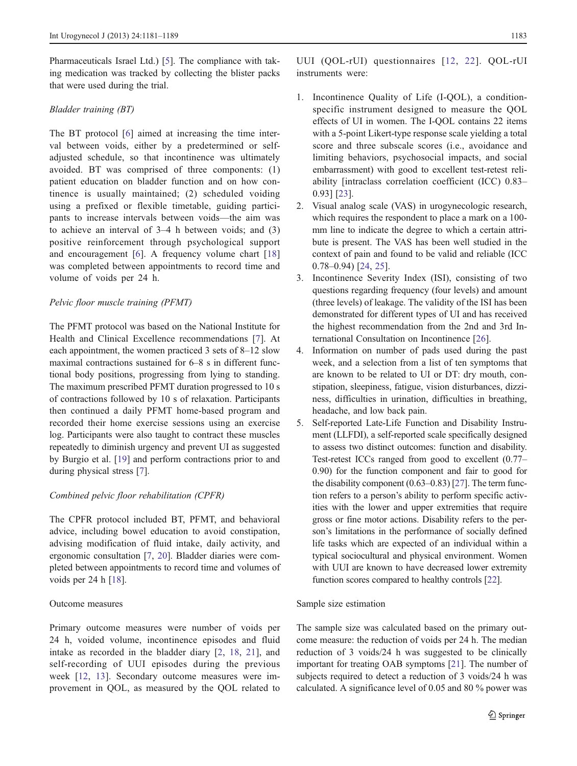Pharmaceuticals Israel Ltd.) [[5\]](#page-7-0). The compliance with taking medication was tracked by collecting the blister packs that were used during the trial.

# Bladder training (BT)

The BT protocol [[6\]](#page-7-0) aimed at increasing the time interval between voids, either by a predetermined or selfadjusted schedule, so that incontinence was ultimately avoided. BT was comprised of three components: (1) patient education on bladder function and on how continence is usually maintained; (2) scheduled voiding using a prefixed or flexible timetable, guiding participants to increase intervals between voids—the aim was to achieve an interval of 3–4 h between voids; and (3) positive reinforcement through psychological support and encouragement [[6](#page-7-0)]. A frequency volume chart [[18\]](#page-7-0) was completed between appointments to record time and volume of voids per 24 h.

#### Pelvic floor muscle training (PFMT)

The PFMT protocol was based on the National Institute for Health and Clinical Excellence recommendations [[7\]](#page-7-0). At each appointment, the women practiced 3 sets of 8–12 slow maximal contractions sustained for 6–8 s in different functional body positions, progressing from lying to standing. The maximum prescribed PFMT duration progressed to 10 s of contractions followed by 10 s of relaxation. Participants then continued a daily PFMT home-based program and recorded their home exercise sessions using an exercise log. Participants were also taught to contract these muscles repeatedly to diminish urgency and prevent UI as suggested by Burgio et al. [\[19](#page-8-0)] and perform contractions prior to and during physical stress [[7\]](#page-7-0).

#### Combined pelvic floor rehabilitation (CPFR)

The CPFR protocol included BT, PFMT, and behavioral advice, including bowel education to avoid constipation, advising modification of fluid intake, daily activity, and ergonomic consultation [[7,](#page-7-0) [20\]](#page-8-0). Bladder diaries were completed between appointments to record time and volumes of voids per 24 h [\[18](#page-7-0)].

#### Outcome measures

Primary outcome measures were number of voids per 24 h, voided volume, incontinence episodes and fluid intake as recorded in the bladder diary [[2,](#page-7-0) [18](#page-7-0), [21](#page-8-0)], and self-recording of UUI episodes during the previous week [[12,](#page-7-0) [13\]](#page-7-0). Secondary outcome measures were improvement in QOL, as measured by the QOL related to

UUI (QOL-rUI) questionnaires [[12,](#page-7-0) [22](#page-8-0)]. QOL-rUI instruments were:

- 1. Incontinence Quality of Life (I-QOL), a conditionspecific instrument designed to measure the QOL effects of UI in women. The I-QOL contains 22 items with a 5-point Likert-type response scale yielding a total score and three subscale scores (i.e., avoidance and limiting behaviors, psychosocial impacts, and social embarrassment) with good to excellent test-retest reliability [intraclass correlation coefficient (ICC) 0.83– 0.93] [[23\]](#page-8-0).
- 2. Visual analog scale (VAS) in urogynecologic research, which requires the respondent to place a mark on a 100 mm line to indicate the degree to which a certain attribute is present. The VAS has been well studied in the context of pain and found to be valid and reliable (ICC 0.78–0.94) [[24,](#page-8-0) [25](#page-8-0)].
- 3. Incontinence Severity Index (ISI), consisting of two questions regarding frequency (four levels) and amount (three levels) of leakage. The validity of the ISI has been demonstrated for different types of UI and has received the highest recommendation from the 2nd and 3rd International Consultation on Incontinence [[26\]](#page-8-0).
- 4. Information on number of pads used during the past week, and a selection from a list of ten symptoms that are known to be related to UI or DT: dry mouth, constipation, sleepiness, fatigue, vision disturbances, dizziness, difficulties in urination, difficulties in breathing, headache, and low back pain.
- 5. Self-reported Late-Life Function and Disability Instrument (LLFDI), a self-reported scale specifically designed to assess two distinct outcomes: function and disability. Test-retest ICCs ranged from good to excellent (0.77– 0.90) for the function component and fair to good for the disability component (0.63–0.83) [[27\]](#page-8-0). The term function refers to a person's ability to perform specific activities with the lower and upper extremities that require gross or fine motor actions. Disability refers to the person's limitations in the performance of socially defined life tasks which are expected of an individual within a typical sociocultural and physical environment. Women with UUI are known to have decreased lower extremity function scores compared to healthy controls [\[22\]](#page-8-0).

# Sample size estimation

The sample size was calculated based on the primary outcome measure: the reduction of voids per 24 h. The median reduction of 3 voids/24 h was suggested to be clinically important for treating OAB symptoms [[21\]](#page-8-0). The number of subjects required to detect a reduction of 3 voids/24 h was calculated. A significance level of 0.05 and 80 % power was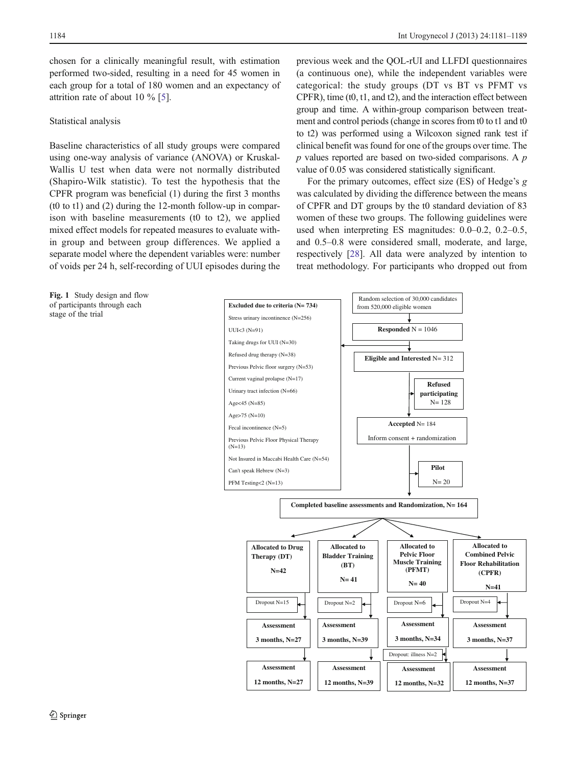<span id="page-3-0"></span>chosen for a clinically meaningful result, with estimation performed two-sided, resulting in a need for 45 women in each group for a total of 180 women and an expectancy of attrition rate of about 10 % [\[5](#page-7-0)].

#### Statistical analysis

Baseline characteristics of all study groups were compared using one-way analysis of variance (ANOVA) or Kruskal-Wallis U test when data were not normally distributed (Shapiro-Wilk statistic). To test the hypothesis that the CPFR program was beneficial (1) during the first 3 months (t0 to t1) and (2) during the 12-month follow-up in comparison with baseline measurements (t0 to t2), we applied mixed effect models for repeated measures to evaluate within group and between group differences. We applied a separate model where the dependent variables were: number of voids per 24 h, self-recording of UUI episodes during the

Fig. 1 Study design and flow of participants through each stage of the trial

previous week and the QOL-rUI and LLFDI questionnaires (a continuous one), while the independent variables were categorical: the study groups (DT vs BT vs PFMT vs CPFR), time (t0, t1, and t2), and the interaction effect between group and time. A within-group comparison between treatment and control periods (change in scores from t0 to t1 and t0 to t2) was performed using a Wilcoxon signed rank test if clinical benefit was found for one of the groups over time. The  $p$  values reported are based on two-sided comparisons. A  $p$ value of 0.05 was considered statistically significant.

For the primary outcomes, effect size (ES) of Hedge's g was calculated by dividing the difference between the means of CPFR and DT groups by the t0 standard deviation of 83 women of these two groups. The following guidelines were used when interpreting ES magnitudes: 0.0–0.2, 0.2–0.5, and 0.5–0.8 were considered small, moderate, and large, respectively [\[28](#page-8-0)]. All data were analyzed by intention to treat methodology. For participants who dropped out from

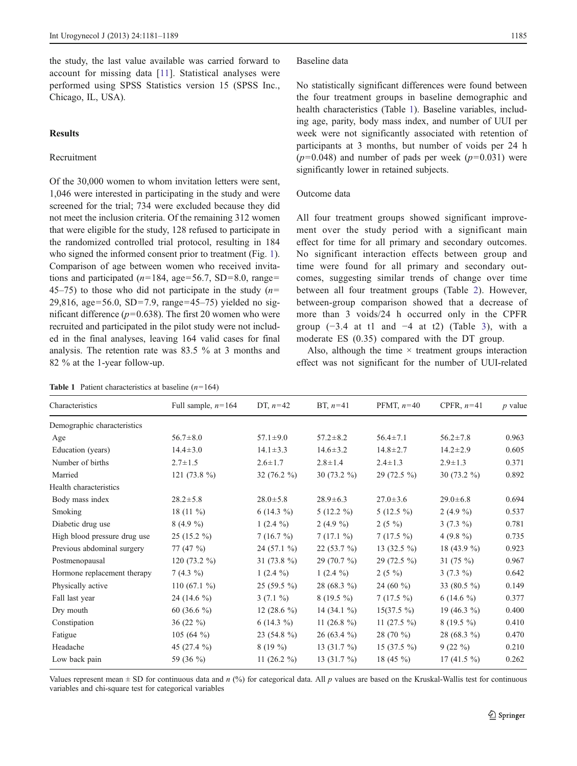the study, the last value available was carried forward to account for missing data [[11](#page-7-0)]. Statistical analyses were performed using SPSS Statistics version 15 (SPSS Inc., Chicago, IL, USA).

# **Results**

# Recruitment

Of the 30,000 women to whom invitation letters were sent, 1,046 were interested in participating in the study and were screened for the trial; 734 were excluded because they did not meet the inclusion criteria. Of the remaining 312 women that were eligible for the study, 128 refused to participate in the randomized controlled trial protocol, resulting in 184 who signed the informed consent prior to treatment (Fig. [1](#page-3-0)). Comparison of age between women who received invitations and participated ( $n=184$ , age=56.7, SD=8.0, range= 45–75) to those who did not participate in the study  $(n=$ 29,816, age=56.0, SD=7.9, range=45–75) yielded no significant difference ( $p=0.638$ ). The first 20 women who were recruited and participated in the pilot study were not included in the final analyses, leaving 164 valid cases for final analysis. The retention rate was 83.5 % at 3 months and 82 % at the 1-year follow-up.

#### Baseline data

No statistically significant differences were found between the four treatment groups in baseline demographic and health characteristics (Table 1). Baseline variables, including age, parity, body mass index, and number of UUI per week were not significantly associated with retention of participants at 3 months, but number of voids per 24 h  $(p=0.048)$  and number of pads per week  $(p=0.031)$  were significantly lower in retained subjects.

## Outcome data

All four treatment groups showed significant improvement over the study period with a significant main effect for time for all primary and secondary outcomes. No significant interaction effects between group and time were found for all primary and secondary outcomes, suggesting similar trends of change over time between all four treatment groups (Table [2](#page-5-0)). However, between-group comparison showed that a decrease of more than 3 voids/24 h occurred only in the CPFR group  $(-3.4$  at t1 and  $-4$  at t2) (Table [3\)](#page-6-0), with a moderate ES (0.35) compared with the DT group.

Also, although the time  $\times$  treatment groups interaction effect was not significant for the number of UUI-related

| <b>Table 1</b> Patient characteristics at baseline $(n=164)$ |  |
|--------------------------------------------------------------|--|
|--------------------------------------------------------------|--|

| Characteristics              | Full sample, $n=164$ | DT, $n=42$      | BT, $n=41$      | PFMT, $n=40$   | CPFR, $n=41$    | $p$ value |
|------------------------------|----------------------|-----------------|-----------------|----------------|-----------------|-----------|
| Demographic characteristics  |                      |                 |                 |                |                 |           |
| Age                          | $56.7 \pm 8.0$       | $57.1 \pm 9.0$  | $57.2 \pm 8.2$  | $56.4 \pm 7.1$ | $56.2 \pm 7.8$  | 0.963     |
| Education (years)            | $14.4 \pm 3.0$       | $14.1 \pm 3.3$  | $14.6 \pm 3.2$  | $14.8 \pm 2.7$ | $14.2 \pm 2.9$  | 0.605     |
| Number of births             | $2.7 \pm 1.5$        | $2.6 \pm 1.7$   | $2.8 \pm 1.4$   | $2.4 \pm 1.3$  | $2.9 \pm 1.3$   | 0.371     |
| Married                      | 121 $(73.8\%)$       | 32 $(76.2 \%)$  | 30 $(73.2\% )$  | 29 $(72.5\%)$  | 30 $(73.2\% )$  | 0.892     |
| Health characteristics       |                      |                 |                 |                |                 |           |
| Body mass index              | $28.2 \pm 5.8$       | $28.0 \pm 5.8$  | $28.9 \pm 6.3$  | $27.0 \pm 3.6$ | $29.0 \pm 6.8$  | 0.694     |
| Smoking                      | 18 $(11\%)$          | 6 $(14.3\%$     | $5(12.2\%)$     | $5(12.5\%)$    | 2 (4.9 %)       | 0.537     |
| Diabetic drug use            | $8(4.9\%)$           | 1 $(2.4\%)$     | 2 $(4.9\%$      | $2(5\%)$       | $3(7.3\%)$      | 0.781     |
| High blood pressure drug use | $25(15.2\%)$         | $7(16.7\%)$     | $7(17.1\%)$     | $7(17.5\%)$    | 4 $(9.8\%$      | 0.735     |
| Previous abdominal surgery   | 77 $(47\frac{9}{0})$ | 24 $(57.1\%)$   | 22 $(53.7\%)$   | 13 $(32.5\%)$  | 18 (43.9 %)     | 0.923     |
| Postmenopausal               | 120 $(73.2\%$        | 31 $(73.8\%)$   | 29 (70.7 $\%$ ) | 29 $(72.5\%)$  | 31 $(75\%)$     | 0.967     |
| Hormone replacement therapy  | 7 $(4.3\%$           | 1 $(2.4\%)$     | 1 $(2.4\%)$     | $2(5\%)$       | 3 $(7.3\%)$     | 0.642     |
| Physically active            | 110 $(67.1\%)$       | $25(59.5\%)$    | 28 (68.3 $\%$ ) | 24 (60 $\%$ )  | 33 (80.5 $\%$ ) | 0.149     |
| Fall last year               | 24 (14.6 %)          | $3(7.1\%)$      | $8(19.5\%)$     | $7(17.5\%)$    | 6 (14.6 $\%$ )  | 0.377     |
| Dry mouth                    | 60 (36.6 $\%$ )      | 12 (28.6 $\%$ ) | 14 (34.1 $\%$ ) | $15(37.5\%)$   | 19 (46.3 $\%$ ) | 0.400     |
| Constipation                 | 36 $(22 \%)$         | 6 (14.3 $\%$ )  | 11 $(26.8\%)$   | 11 $(27.5\%)$  | $8(19.5\%)$     | 0.410     |
| Fatigue                      | 105 (64 $\%$ )       | 23 $(54.8\%)$   | $26(63.4\%)$    | $28(70\%)$     | 28 (68.3 %)     | 0.470     |
| Headache                     | 45 $(27.4\%)$        | $8(19\%)$       | 13 $(31.7\%)$   | 15 $(37.5\%)$  | $9(22\%)$       | 0.210     |
| Low back pain                | 59 (36 %)            | 11 $(26.2\%)$   | 13 $(31.7%)$    | 18 $(45\%$     | 17 $(41.5\%$    | 0.262     |

Values represent mean  $\pm$  SD for continuous data and n (%) for categorical data. All p values are based on the Kruskal-Wallis test for continuous variables and chi-square test for categorical variables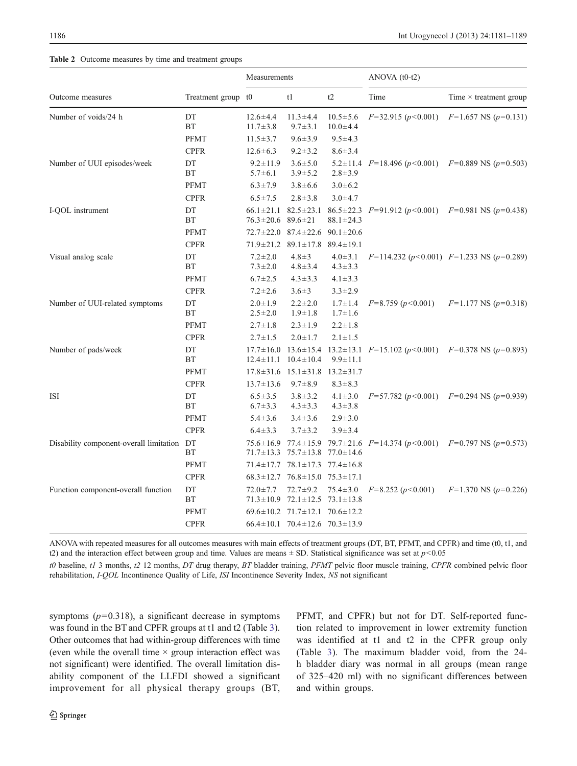#### <span id="page-5-0"></span>Table 2 Outcome measures by time and treatment groups

|                                            |                    | Measurements                       |                                                                                    |                                  | $ANOVA$ (t0-t2)                              |                                                          |  |
|--------------------------------------------|--------------------|------------------------------------|------------------------------------------------------------------------------------|----------------------------------|----------------------------------------------|----------------------------------------------------------|--|
| Outcome measures                           | Treatment group t0 |                                    | t1                                                                                 | t2                               | Time                                         | Time $\times$ treatment group                            |  |
| Number of voids/24 h                       | DT<br><b>BT</b>    | $12.6 \pm 4.4$<br>$11.7 \pm 3.8$   | $11.3 \pm 4.4$<br>$9.7 \pm 3.1$                                                    | $10.5 \pm 5.6$<br>$10.0 \pm 4.4$ | $F=32.915(p<0.001)$                          | $F=1.657$ NS ( $p=0.131$ )                               |  |
|                                            | <b>PFMT</b>        | $11.5 \pm 3.7$                     | $9.6 \pm 3.9$                                                                      | $9.5 \pm 4.3$                    |                                              |                                                          |  |
|                                            | <b>CPFR</b>        | $12.6 \pm 6.3$                     | $9.2 \pm 3.2$                                                                      | $8.6 \pm 3.4$                    |                                              |                                                          |  |
| Number of UUI episodes/week                | DT<br><b>BT</b>    | $9.2 \pm 11.9$<br>$5.7 \pm 6.1$    | $3.6 \pm 5.0$<br>$3.9 \pm 5.2$                                                     | $2.8 \pm 3.9$                    |                                              | 5.2±11.4 $F=18.496 (p<0.001)$ $F=0.889$ NS ( $p=0.503$ ) |  |
|                                            | <b>PFMT</b>        | $6.3 \pm 7.9$                      | $3.8 \pm 6.6$                                                                      | $3.0 \pm 6.2$                    |                                              |                                                          |  |
|                                            | <b>CPFR</b>        | $6.5 \pm 7.5$                      | $2.8 \pm 3.8$                                                                      | $3.0 + 4.7$                      |                                              |                                                          |  |
| I-OOL instrument                           | DT<br><b>BT</b>    | $66.1 \pm 21.1$<br>$76.3 \pm 20.6$ | $82.5 \pm 23.1$<br>$89.6 \pm 21$                                                   | $88.1 \pm 24.3$                  | $86.5 \pm 22.3$ $F = 91.912$ ( $p < 0.001$ ) | $F=0.981$ NS (p=0.438)                                   |  |
|                                            | <b>PFMT</b>        |                                    | $72.7 \pm 22.0$ 87.4 $\pm 22.6$ 90.1 $\pm 20.6$                                    |                                  |                                              |                                                          |  |
|                                            | <b>CPFR</b>        |                                    | $71.9 \pm 21.2$ 89.1 $\pm$ 17.8 89.4 $\pm$ 19.1                                    |                                  |                                              |                                                          |  |
| Visual analog scale                        | DT<br><b>BT</b>    | $7.2 \pm 2.0$<br>$7.3 \pm 2.0$     | $4.8 \pm 3$<br>$4.8 \pm 3.4$                                                       | $4.0 \pm 3.1$<br>$4.3 \pm 3.3$   |                                              | $F=114.232 (p<0.001)$ $F=1.233$ NS ( $p=0.289$ )         |  |
|                                            | <b>PFMT</b>        | $6.7 \pm 2.5$                      | $4.3 \pm 3.3$                                                                      | $4.1 \pm 3.3$                    |                                              |                                                          |  |
|                                            | <b>CPFR</b>        | $7.2 \pm 2.6$                      | $3.6 \pm 3$                                                                        | $3.3 \pm 2.9$                    |                                              |                                                          |  |
| Number of UUI-related symptoms             | DT<br>BT           | $2.0 \pm 1.9$<br>$2.5 \pm 2.0$     | $2.2 \pm 2.0$<br>$1.9 \pm 1.8$                                                     | $1.7 \pm 1.4$<br>$1.7 \pm 1.6$   | $F=8.759 (p<0.001)$                          | $F=1.177$ NS ( $p=0.318$ )                               |  |
|                                            | PFMT               | $2.7 \pm 1.8$                      | $2.3 \pm 1.9$                                                                      | $2.2 \pm 1.8$                    |                                              |                                                          |  |
|                                            | <b>CPFR</b>        | $2.7 \pm 1.5$                      | $2.0 \pm 1.7$                                                                      | $2.1 \pm 1.5$                    |                                              |                                                          |  |
| Number of pads/week                        | DT<br>BT           | $17.7 \pm 16.0$<br>$12.4 \pm 11.1$ | $13.6 \pm 15.4$<br>$10.4 \pm 10.4$                                                 | $9.9 \pm 11.1$                   |                                              | 13.2±13.1 $F=15.102 (p<0.001)$ $F=0.378$ NS (p=0.893)    |  |
|                                            | <b>PFMT</b>        |                                    | $17.8 \pm 31.6$ $15.1 \pm 31.8$                                                    | $13.2 \pm 31.7$                  |                                              |                                                          |  |
|                                            | <b>CPFR</b>        | $13.7 \pm 13.6$                    | $9.7 \pm 8.9$                                                                      | $8.3 \pm 8.3$                    |                                              |                                                          |  |
| ISI                                        | DT<br><b>BT</b>    | $6.5 \pm 3.5$<br>$6.7 \pm 3.3$     | $3.8 \pm 3.2$<br>$4.3 \pm 3.3$                                                     | $4.1 \pm 3.0$<br>$4.3 \pm 3.8$   | $F=57.782(p<0.001)$                          | $F=0.294$ NS ( $p=0.939$ )                               |  |
|                                            | PFMT               | $5.4 \pm 3.6$                      | $3.4 \pm 3.6$                                                                      | $2.9 \pm 3.0$                    |                                              |                                                          |  |
|                                            | <b>CPFR</b>        | $6.4 \pm 3.3$                      | $3.7 \pm 3.2$                                                                      | $3.9 \pm 3.4$                    |                                              |                                                          |  |
| Disability component-overall limitation DT | <b>BT</b>          |                                    | $75.6 \pm 16.9$ $77.4 \pm 15.9$<br>$71.7 \pm 13.3$ $75.7 \pm 13.8$ $77.0 \pm 14.6$ |                                  | $79.7 \pm 21.6$ $F = 14.374$ ( $p < 0.001$ ) | $F=0.797$ NS ( $p=0.573$ )                               |  |
|                                            | PFMT               |                                    | $71.4 \pm 17.7$ $78.1 \pm 17.3$ $77.4 \pm 16.8$                                    |                                  |                                              |                                                          |  |
|                                            | <b>CPFR</b>        |                                    | $68.3 \pm 12.7$ 76.8 $\pm 15.0$ 75.3 $\pm 17.1$                                    |                                  |                                              |                                                          |  |
| Function component-overall function        | DT                 | $72.0 \pm 7.7$                     | $72.7 \pm 9.2$                                                                     | $75.4 \pm 3.0$                   | $F=8.252(p<0.001)$                           | $F=1.370$ NS ( $p=0.226$ )                               |  |
|                                            | <b>BT</b>          |                                    | $71.3 \pm 10.9$ $72.1 \pm 12.5$ $73.1 \pm 13.8$                                    |                                  |                                              |                                                          |  |
|                                            | <b>PFMT</b>        |                                    | $69.6 \pm 10.2$ $71.7 \pm 12.1$ $70.6 \pm 12.2$                                    |                                  |                                              |                                                          |  |
|                                            | <b>CPFR</b>        |                                    | $66.4 \pm 10.1$ 70.4 $\pm$ 12.6 70.3 $\pm$ 13.9                                    |                                  |                                              |                                                          |  |

ANOVA with repeated measures for all outcomes measures with main effects of treatment groups (DT, BT, PFMT, and CPFR) and time (t0, t1, and t2) and the interaction effect between group and time. Values are means  $\pm$  SD. Statistical significance was set at  $p$  < 0.05

t0 baseline, t1 3 months, t2 12 months, DT drug therapy, BT bladder training, PFMT pelvic floor muscle training, CPFR combined pelvic floor rehabilitation, I-QOL Incontinence Quality of Life, ISI Incontinence Severity Index, NS not significant

symptoms ( $p=0.318$ ), a significant decrease in symptoms was found in the BT and CPFR groups at t1 and t2 (Table [3](#page-6-0)). Other outcomes that had within-group differences with time (even while the overall time  $\times$  group interaction effect was not significant) were identified. The overall limitation disability component of the LLFDI showed a significant improvement for all physical therapy groups (BT, PFMT, and CPFR) but not for DT. Self-reported function related to improvement in lower extremity function was identified at t1 and t2 in the CPFR group only (Table [3\)](#page-6-0). The maximum bladder void, from the 24 h bladder diary was normal in all groups (mean range of 325–420 ml) with no significant differences between and within groups.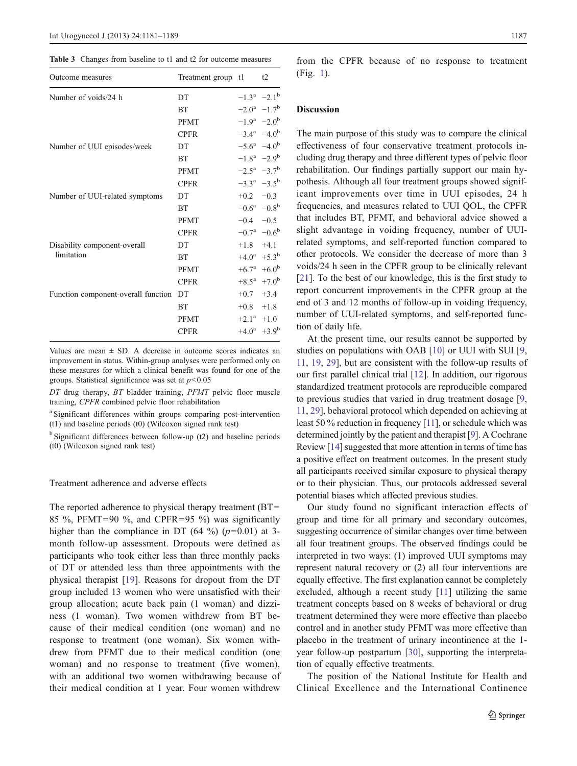<span id="page-6-0"></span>Table 3 Changes from baseline to t1 and t2 for outcome measures

| Outcome measures                    | Treatment group t1 |                 | t2                            |
|-------------------------------------|--------------------|-----------------|-------------------------------|
| Number of voids/24 h                | DT                 |                 | $-1.3^a$ $-2.1^b$             |
|                                     | <b>BT</b>          |                 | $-2.0^a$ $-1.7^b$             |
|                                     | <b>PFMT</b>        |                 | $-1.9^a$ $-2.0^b$             |
|                                     | <b>CPFR</b>        |                 | $-3.4^a$ $-4.0^b$             |
| Number of UUI episodes/week         | DT                 |                 | $-5.6^a$ $-4.0^b$             |
|                                     | <b>BT</b>          |                 | $-1.8^a$ $-2.9^b$             |
|                                     | <b>PFMT</b>        |                 | $-2.5^{\rm a}$ $-3.7^{\rm b}$ |
|                                     | <b>CPFR</b>        |                 | $-3.3^a$ $-3.5^b$             |
| Number of UUI-related symptoms      | DT                 | $+0.2 -0.3$     |                               |
|                                     | <b>BT</b>          |                 | $-0.6^a$ $-0.8^b$             |
|                                     | <b>PFMT</b>        | $-0.4 -0.5$     |                               |
|                                     | <b>CPFR</b>        |                 | $-0.7^{\rm a}$ $-0.6^{\rm b}$ |
| Disability component-overall        | DT                 | $+1.8$ $+4.1$   |                               |
| limitation                          | <b>BT</b>          |                 | $+4.0^a$ $+5.3^b$             |
|                                     | <b>PFMT</b>        |                 | $+6.7^a$ $+6.0^b$             |
|                                     | <b>CPFR</b>        |                 | $+8.5^{\rm a}$ $+7.0^{\rm b}$ |
| Function component-overall function | DT                 | $+0.7$ $+3.4$   |                               |
|                                     | <b>BT</b>          | $+0.8$ $+1.8$   |                               |
|                                     | <b>PFMT</b>        | $+2.1^a$ $+1.0$ |                               |
|                                     | <b>CPFR</b>        |                 | $+4.0^a$ $+3.9^b$             |

Values are mean  $\pm$  SD. A decrease in outcome scores indicates an improvement in status. Within-group analyses were performed only on those measures for which a clinical benefit was found for one of the groups. Statistical significance was set at  $p < 0.05$ 

DT drug therapy, BT bladder training, PFMT pelvic floor muscle training, CPFR combined pelvic floor rehabilitation

<sup>a</sup> Significant differences within groups comparing post-intervention (t1) and baseline periods (t0) (Wilcoxon signed rank test)

 $b$  Significant differences between follow-up (t2) and baseline periods (t0) (Wilcoxon signed rank test)

# Treatment adherence and adverse effects

The reported adherence to physical therapy treatment  $(BT=0)$ 85 %, PFMT=90 %, and CPFR=95 %) was significantly higher than the compliance in DT (64 %) ( $p=0.01$ ) at 3month follow-up assessment. Dropouts were defined as participants who took either less than three monthly packs of DT or attended less than three appointments with the physical therapist [\[19](#page-8-0)]. Reasons for dropout from the DT group included 13 women who were unsatisfied with their group allocation; acute back pain (1 woman) and dizziness (1 woman). Two women withdrew from BT because of their medical condition (one woman) and no response to treatment (one woman). Six women withdrew from PFMT due to their medical condition (one woman) and no response to treatment (five women), with an additional two women withdrawing because of their medical condition at 1 year. Four women withdrew

from the CPFR because of no response to treatment (Fig. [1](#page-3-0)).

# Discussion

The main purpose of this study was to compare the clinical effectiveness of four conservative treatment protocols including drug therapy and three different types of pelvic floor rehabilitation. Our findings partially support our main hypothesis. Although all four treatment groups showed significant improvements over time in UUI episodes, 24 h frequencies, and measures related to UUI QOL, the CPFR that includes BT, PFMT, and behavioral advice showed a slight advantage in voiding frequency, number of UUIrelated symptoms, and self-reported function compared to other protocols. We consider the decrease of more than 3 voids/24 h seen in the CPFR group to be clinically relevant [\[21](#page-8-0)]. To the best of our knowledge, this is the first study to report concurrent improvements in the CPFR group at the end of 3 and 12 months of follow-up in voiding frequency, number of UUI-related symptoms, and self-reported function of daily life.

At the present time, our results cannot be supported by studies on populations with OAB [\[10](#page-7-0)] or UUI with SUI [[9,](#page-7-0) [11,](#page-7-0) [19](#page-8-0), [29\]](#page-8-0), but are consistent with the follow-up results of our first parallel clinical trial [\[12](#page-7-0)]. In addition, our rigorous standardized treatment protocols are reproducible compared to previous studies that varied in drug treatment dosage [[9,](#page-7-0) [11,](#page-7-0) [29\]](#page-8-0), behavioral protocol which depended on achieving at least 50 % reduction in frequency [\[11](#page-7-0)], or schedule which was determined jointly by the patient and therapist [[9\]](#page-7-0). A Cochrane Review [[14\]](#page-7-0) suggested that more attention in terms of time has a positive effect on treatment outcomes. In the present study all participants received similar exposure to physical therapy or to their physician. Thus, our protocols addressed several potential biases which affected previous studies.

Our study found no significant interaction effects of group and time for all primary and secondary outcomes, suggesting occurrence of similar changes over time between all four treatment groups. The observed findings could be interpreted in two ways: (1) improved UUI symptoms may represent natural recovery or (2) all four interventions are equally effective. The first explanation cannot be completely excluded, although a recent study [\[11](#page-7-0)] utilizing the same treatment concepts based on 8 weeks of behavioral or drug treatment determined they were more effective than placebo control and in another study PFMT was more effective than placebo in the treatment of urinary incontinence at the 1 year follow-up postpartum [[30](#page-8-0)], supporting the interpretation of equally effective treatments.

The position of the National Institute for Health and Clinical Excellence and the International Continence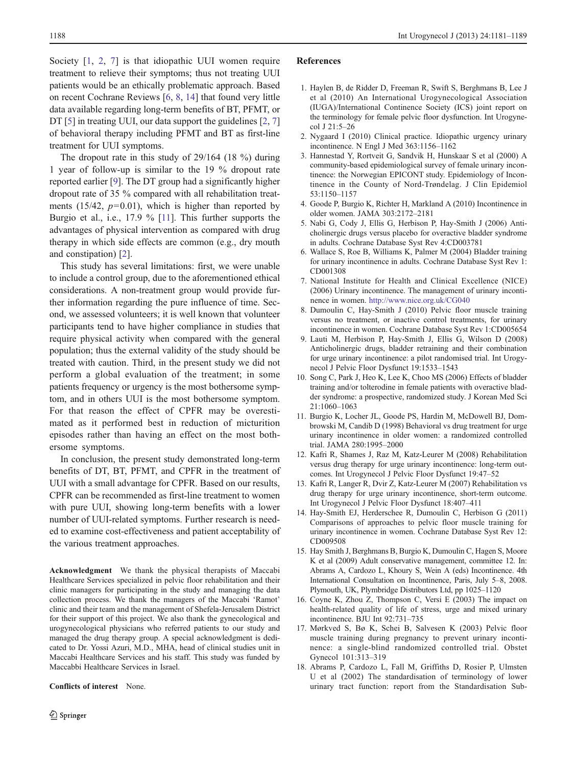<span id="page-7-0"></span>Society [1, 2, 7] is that idiopathic UUI women require treatment to relieve their symptoms; thus not treating UUI patients would be an ethically problematic approach. Based on recent Cochrane Reviews [6, 8, 14] that found very little data available regarding long-term benefits of BT, PFMT, or DT [5] in treating UUI, our data support the guidelines [2, 7] of behavioral therapy including PFMT and BT as first-line treatment for UUI symptoms.

The dropout rate in this study of 29/164 (18 %) during 1 year of follow-up is similar to the 19 % dropout rate reported earlier [9]. The DT group had a significantly higher dropout rate of 35 % compared with all rehabilitation treatments (15/42,  $p=0.01$ ), which is higher than reported by Burgio et al., i.e., 17.9 % [11]. This further supports the advantages of physical intervention as compared with drug therapy in which side effects are common (e.g., dry mouth and constipation) [2].

This study has several limitations: first, we were unable to include a control group, due to the aforementioned ethical considerations. A non-treatment group would provide further information regarding the pure influence of time. Second, we assessed volunteers; it is well known that volunteer participants tend to have higher compliance in studies that require physical activity when compared with the general population; thus the external validity of the study should be treated with caution. Third, in the present study we did not perform a global evaluation of the treatment; in some patients frequency or urgency is the most bothersome symptom, and in others UUI is the most bothersome symptom. For that reason the effect of CPFR may be overestimated as it performed best in reduction of micturition episodes rather than having an effect on the most bothersome symptoms.

In conclusion, the present study demonstrated long-term benefits of DT, BT, PFMT, and CPFR in the treatment of UUI with a small advantage for CPFR. Based on our results, CPFR can be recommended as first-line treatment to women with pure UUI, showing long-term benefits with a lower number of UUI-related symptoms. Further research is needed to examine cost-effectiveness and patient acceptability of the various treatment approaches.

Acknowledgment We thank the physical therapists of Maccabi Healthcare Services specialized in pelvic floor rehabilitation and their clinic managers for participating in the study and managing the data collection process. We thank the managers of the Maccabi 'Ramot' clinic and their team and the management of Shefela-Jerusalem District for their support of this project. We also thank the gynecological and urogynecological physicians who referred patients to our study and managed the drug therapy group. A special acknowledgment is dedicated to Dr. Yossi Azuri, M.D., MHA, head of clinical studies unit in Maccabi Healthcare Services and his staff. This study was funded by Maccabbi Healthcare Services in Israel.

#### Conflicts of interest None.

#### References

- 1. Haylen B, de Ridder D, Freeman R, Swift S, Berghmans B, Lee J et al (2010) An International Urogynecological Association (IUGA)/International Continence Society (ICS) joint report on the terminology for female pelvic floor dysfunction. Int Urogynecol J 21:5–26
- 2. Nygaard I (2010) Clinical practice. Idiopathic urgency urinary incontinence. N Engl J Med 363:1156–1162
- 3. Hannestad Y, Rortveit G, Sandvik H, Hunskaar S et al (2000) A community-based epidemiological survey of female urinary incontinence: the Norwegian EPICONT study. Epidemiology of Incontinence in the County of Nord-Trøndelag. J Clin Epidemiol 53:1150–1157
- 4. Goode P, Burgio K, Richter H, Markland A (2010) Incontinence in older women. JAMA 303:2172–2181
- 5. Nabi G, Cody J, Ellis G, Herbison P, Hay-Smith J (2006) Anticholinergic drugs versus placebo for overactive bladder syndrome in adults. Cochrane Database Syst Rev 4:CD003781
- 6. Wallace S, Roe B, Williams K, Palmer M (2004) Bladder training for urinary incontinence in adults. Cochrane Database Syst Rev 1: CD001308
- 7. National Institute for Health and Clinical Excellence (NICE) (2006) Urinary incontinence. The management of urinary incontinence in women. <http://www.nice.org.uk/CG040>
- 8. Dumoulin C, Hay-Smith J (2010) Pelvic floor muscle training versus no treatment, or inactive control treatments, for urinary incontinence in women. Cochrane Database Syst Rev 1:CD005654
- 9. Lauti M, Herbison P, Hay-Smith J, Ellis G, Wilson D (2008) Anticholinergic drugs, bladder retraining and their combination for urge urinary incontinence: a pilot randomised trial. Int Urogynecol J Pelvic Floor Dysfunct 19:1533–1543
- 10. Song C, Park J, Heo K, Lee K, Choo MS (2006) Effects of bladder training and/or tolterodine in female patients with overactive bladder syndrome: a prospective, randomized study. J Korean Med Sci 21:1060–1063
- 11. Burgio K, Locher JL, Goode PS, Hardin M, McDowell BJ, Dombrowski M, Candib D (1998) Behavioral vs drug treatment for urge urinary incontinence in older women: a randomized controlled trial. JAMA 280:1995–2000
- 12. Kafri R, Shames J, Raz M, Katz-Leurer M (2008) Rehabilitation versus drug therapy for urge urinary incontinence: long-term outcomes. Int Urogynecol J Pelvic Floor Dysfunct 19:47–52
- 13. Kafri R, Langer R, Dvir Z, Katz-Leurer M (2007) Rehabilitation vs drug therapy for urge urinary incontinence, short-term outcome. Int Urogynecol J Pelvic Floor Dysfunct 18:407–411
- 14. Hay-Smith EJ, Herderschee R, Dumoulin C, Herbison G (2011) Comparisons of approaches to pelvic floor muscle training for urinary incontinence in women. Cochrane Database Syst Rev 12: CD009508
- 15. Hay Smith J, Berghmans B, Burgio K, Dumoulin C, Hagen S, Moore K et al (2009) Adult conservative management, committee 12. In: Abrams A, Cardozo L, Khoury S, Wein A (eds) Incontinence. 4th International Consultation on Incontinence, Paris, July 5–8, 2008. Plymouth, UK, Plymbridge Distributors Ltd, pp 1025–1120
- 16. Coyne K, Zhou Z, Thompson C, Versi E (2003) The impact on health-related quality of life of stress, urge and mixed urinary incontinence. BJU Int 92:731–735
- 17. Mørkved S, Bø K, Schei B, Salvesen K (2003) Pelvic floor muscle training during pregnancy to prevent urinary incontinence: a single-blind randomized controlled trial. Obstet Gynecol 101:313–319
- 18. Abrams P, Cardozo L, Fall M, Griffiths D, Rosier P, Ulmsten U et al (2002) The standardisation of terminology of lower urinary tract function: report from the Standardisation Sub-